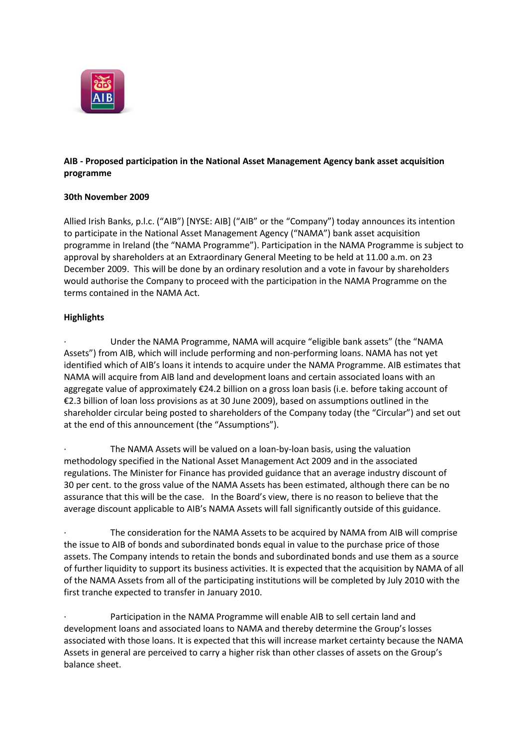

# **AIB - Proposed participation in the National Asset Management Agency bank asset acquisition programme**

### **30th November 2009**

Allied Irish Banks, p.l.c. ("AIB") [NYSE: AIB] ("AIB" or the "Company") today announces its intention to participate in the National Asset Management Agency ("NAMA") bank asset acquisition programme in Ireland (the "NAMA Programme"). Participation in the NAMA Programme is subject to approval by shareholders at an Extraordinary General Meeting to be held at 11.00 a.m. on 23 December 2009. This will be done by an ordinary resolution and a vote in favour by shareholders would authorise the Company to proceed with the participation in the NAMA Programme on the terms contained in the NAMA Act.

### **Highlights**

Under the NAMA Programme, NAMA will acquire "eligible bank assets" (the "NAMA Assets") from AIB, which will include performing and non-performing loans. NAMA has not yet identified which of AIB's loans it intends to acquire under the NAMA Programme. AIB estimates that NAMA will acquire from AIB land and development loans and certain associated loans with an aggregate value of approximately €24.2 billion on a gross loan basis (i.e. before taking account of €2.3 billion of loan loss provisions as at 30 June 2009), based on assumptions outlined in the shareholder circular being posted to shareholders of the Company today (the "Circular") and set out at the end of this announcement (the "Assumptions").

The NAMA Assets will be valued on a loan-by-loan basis, using the valuation methodology specified in the National Asset Management Act 2009 and in the associated regulations. The Minister for Finance has provided guidance that an average industry discount of 30 per cent. to the gross value of the NAMA Assets has been estimated, although there can be no assurance that this will be the case. In the Board's view, there is no reason to believe that the average discount applicable to AIB's NAMA Assets will fall significantly outside of this guidance.

The consideration for the NAMA Assets to be acquired by NAMA from AIB will comprise the issue to AIB of bonds and subordinated bonds equal in value to the purchase price of those assets. The Company intends to retain the bonds and subordinated bonds and use them as a source of further liquidity to support its business activities. It is expected that the acquisition by NAMA of all of the NAMA Assets from all of the participating institutions will be completed by July 2010 with the first tranche expected to transfer in January 2010.

Participation in the NAMA Programme will enable AIB to sell certain land and development loans and associated loans to NAMA and thereby determine the Group's losses associated with those loans. It is expected that this will increase market certainty because the NAMA Assets in general are perceived to carry a higher risk than other classes of assets on the Group's balance sheet.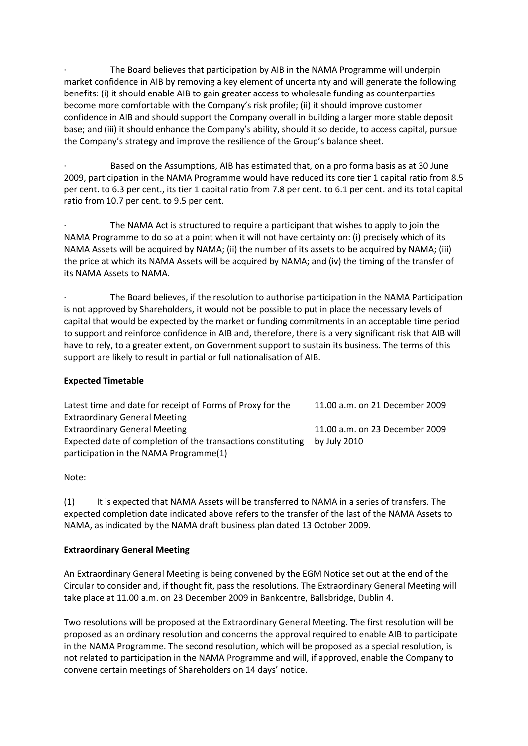The Board believes that participation by AIB in the NAMA Programme will underpin market confidence in AIB by removing a key element of uncertainty and will generate the following benefits: (i) it should enable AIB to gain greater access to wholesale funding as counterparties become more comfortable with the Company's risk profile; (ii) it should improve customer confidence in AIB and should support the Company overall in building a larger more stable deposit base; and (iii) it should enhance the Company's ability, should it so decide, to access capital, pursue the Company's strategy and improve the resilience of the Group's balance sheet.

Based on the Assumptions, AIB has estimated that, on a pro forma basis as at 30 June 2009, participation in the NAMA Programme would have reduced its core tier 1 capital ratio from 8.5 per cent. to 6.3 per cent., its tier 1 capital ratio from 7.8 per cent. to 6.1 per cent. and its total capital ratio from 10.7 per cent. to 9.5 per cent.

The NAMA Act is structured to require a participant that wishes to apply to join the NAMA Programme to do so at a point when it will not have certainty on: (i) precisely which of its NAMA Assets will be acquired by NAMA; (ii) the number of its assets to be acquired by NAMA; (iii) the price at which its NAMA Assets will be acquired by NAMA; and (iv) the timing of the transfer of its NAMA Assets to NAMA.

· The Board believes, if the resolution to authorise participation in the NAMA Participation is not approved by Shareholders, it would not be possible to put in place the necessary levels of capital that would be expected by the market or funding commitments in an acceptable time period to support and reinforce confidence in AIB and, therefore, there is a very significant risk that AIB will have to rely, to a greater extent, on Government support to sustain its business. The terms of this support are likely to result in partial or full nationalisation of AIB.

#### **Expected Timetable**

| Latest time and date for receipt of Forms of Proxy for the   | 11.00 a.m. on 21 December 2009 |
|--------------------------------------------------------------|--------------------------------|
| <b>Extraordinary General Meeting</b>                         |                                |
| <b>Extraordinary General Meeting</b>                         | 11.00 a.m. on 23 December 2009 |
| Expected date of completion of the transactions constituting | by July 2010                   |
| participation in the NAMA Programme(1)                       |                                |

Note:

(1) It is expected that NAMA Assets will be transferred to NAMA in a series of transfers. The expected completion date indicated above refers to the transfer of the last of the NAMA Assets to NAMA, as indicated by the NAMA draft business plan dated 13 October 2009.

#### **Extraordinary General Meeting**

An Extraordinary General Meeting is being convened by the EGM Notice set out at the end of the Circular to consider and, if thought fit, pass the resolutions. The Extraordinary General Meeting will take place at 11.00 a.m. on 23 December 2009 in Bankcentre, Ballsbridge, Dublin 4.

Two resolutions will be proposed at the Extraordinary General Meeting. The first resolution will be proposed as an ordinary resolution and concerns the approval required to enable AIB to participate in the NAMA Programme. The second resolution, which will be proposed as a special resolution, is not related to participation in the NAMA Programme and will, if approved, enable the Company to convene certain meetings of Shareholders on 14 days' notice.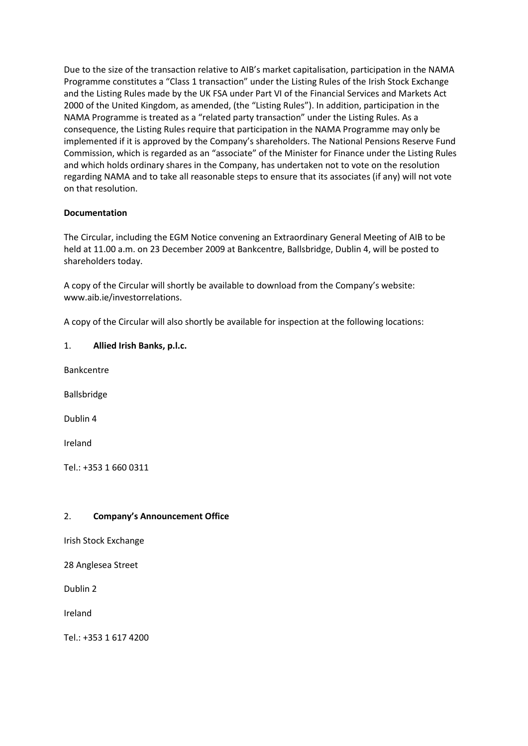Due to the size of the transaction relative to AIB's market capitalisation, participation in the NAMA Programme constitutes a "Class 1 transaction" under the Listing Rules of the Irish Stock Exchange and the Listing Rules made by the UK FSA under Part VI of the Financial Services and Markets Act 2000 of the United Kingdom, as amended, (the "Listing Rules"). In addition, participation in the NAMA Programme is treated as a "related party transaction" under the Listing Rules. As a consequence, the Listing Rules require that participation in the NAMA Programme may only be implemented if it is approved by the Company's shareholders. The National Pensions Reserve Fund Commission, which is regarded as an "associate" of the Minister for Finance under the Listing Rules and which holds ordinary shares in the Company, has undertaken not to vote on the resolution regarding NAMA and to take all reasonable steps to ensure that its associates (if any) will not vote on that resolution.

### **Documentation**

The Circular, including the EGM Notice convening an Extraordinary General Meeting of AIB to be held at 11.00 a.m. on 23 December 2009 at Bankcentre, Ballsbridge, Dublin 4, will be posted to shareholders today.

A copy of the Circular will shortly be available to download from the Company's website: www.aib.ie/investorrelations.

A copy of the Circular will also shortly be available for inspection at the following locations:

# 1. **Allied Irish Banks, p.l.c.**

Bankcentre

Ballsbridge

Dublin 4

Ireland

Tel.: +353 1 660 0311

# 2. **Company's Announcement Office**

Irish Stock Exchange

28 Anglesea Street

Dublin 2

Ireland

Tel.: +353 1 617 4200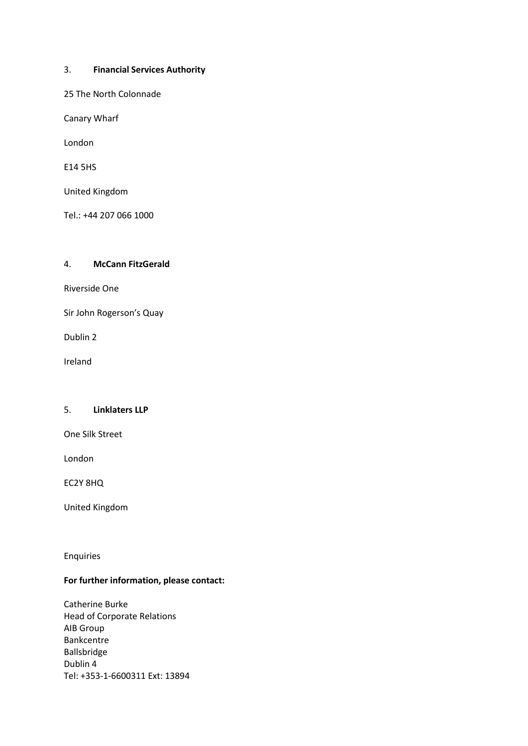#### 3. **Financial Services Authority**

25 The North Colonnade

Canary Wharf

London

E14 5HS

United Kingdom

Tel.: +44 207 066 1000

### 4. **McCann FitzGerald**

Riverside One

Sir John Rogerson's Quay

Dublin 2

Ireland

#### 5. **Linklaters LLP**

One Silk Street

London

EC2Y 8HQ

United Kingdom

Enquiries

# **For further information, please contact:**

Catherine Burke Head of Corporate Relations AIB Group Bankcentre Ballsbridge Dublin 4 Tel: +353-1-6600311 Ext: 13894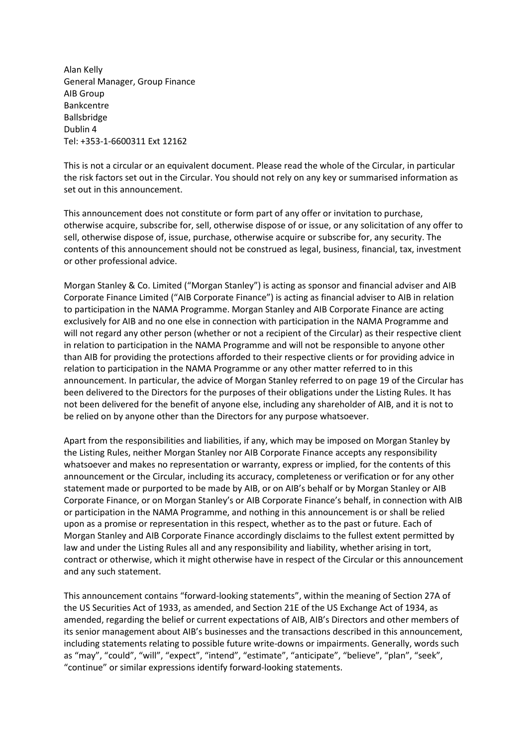Alan Kelly General Manager, Group Finance AIB Group Bankcentre Ballsbridge Dublin 4 Tel: +353-1-6600311 Ext 12162

This is not a circular or an equivalent document. Please read the whole of the Circular, in particular the risk factors set out in the Circular. You should not rely on any key or summarised information as set out in this announcement.

This announcement does not constitute or form part of any offer or invitation to purchase, otherwise acquire, subscribe for, sell, otherwise dispose of or issue, or any solicitation of any offer to sell, otherwise dispose of, issue, purchase, otherwise acquire or subscribe for, any security. The contents of this announcement should not be construed as legal, business, financial, tax, investment or other professional advice.

Morgan Stanley & Co. Limited ("Morgan Stanley") is acting as sponsor and financial adviser and AIB Corporate Finance Limited ("AIB Corporate Finance") is acting as financial adviser to AIB in relation to participation in the NAMA Programme. Morgan Stanley and AIB Corporate Finance are acting exclusively for AIB and no one else in connection with participation in the NAMA Programme and will not regard any other person (whether or not a recipient of the Circular) as their respective client in relation to participation in the NAMA Programme and will not be responsible to anyone other than AIB for providing the protections afforded to their respective clients or for providing advice in relation to participation in the NAMA Programme or any other matter referred to in this announcement. In particular, the advice of Morgan Stanley referred to on page 19 of the Circular has been delivered to the Directors for the purposes of their obligations under the Listing Rules. It has not been delivered for the benefit of anyone else, including any shareholder of AIB, and it is not to be relied on by anyone other than the Directors for any purpose whatsoever.

Apart from the responsibilities and liabilities, if any, which may be imposed on Morgan Stanley by the Listing Rules, neither Morgan Stanley nor AIB Corporate Finance accepts any responsibility whatsoever and makes no representation or warranty, express or implied, for the contents of this announcement or the Circular, including its accuracy, completeness or verification or for any other statement made or purported to be made by AIB, or on AIB's behalf or by Morgan Stanley or AIB Corporate Finance, or on Morgan Stanley's or AIB Corporate Finance's behalf, in connection with AIB or participation in the NAMA Programme, and nothing in this announcement is or shall be relied upon as a promise or representation in this respect, whether as to the past or future. Each of Morgan Stanley and AIB Corporate Finance accordingly disclaims to the fullest extent permitted by law and under the Listing Rules all and any responsibility and liability, whether arising in tort, contract or otherwise, which it might otherwise have in respect of the Circular or this announcement and any such statement.

This announcement contains "forward-looking statements", within the meaning of Section 27A of the US Securities Act of 1933, as amended, and Section 21E of the US Exchange Act of 1934, as amended, regarding the belief or current expectations of AIB, AIB's Directors and other members of its senior management about AIB's businesses and the transactions described in this announcement, including statements relating to possible future write-downs or impairments. Generally, words such as "may", "could", "will", "expect", "intend", "estimate", "anticipate", "believe", "plan", "seek", "continue" or similar expressions identify forward-looking statements.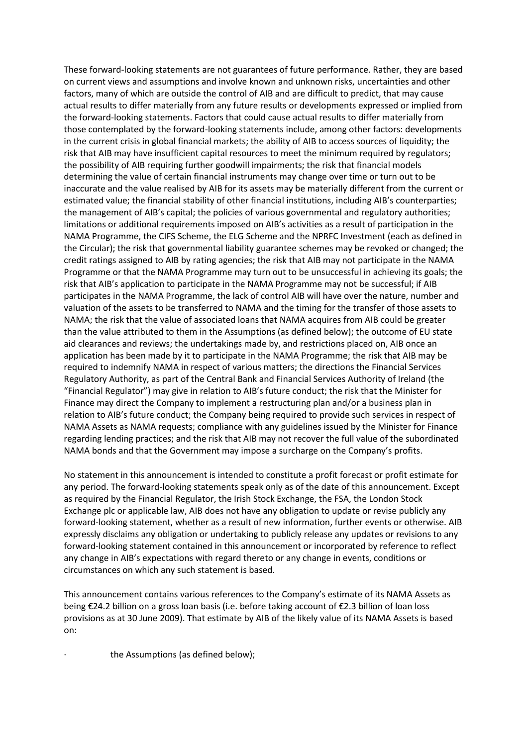These forward-looking statements are not guarantees of future performance. Rather, they are based on current views and assumptions and involve known and unknown risks, uncertainties and other factors, many of which are outside the control of AIB and are difficult to predict, that may cause actual results to differ materially from any future results or developments expressed or implied from the forward-looking statements. Factors that could cause actual results to differ materially from those contemplated by the forward-looking statements include, among other factors: developments in the current crisis in global financial markets; the ability of AIB to access sources of liquidity; the risk that AIB may have insufficient capital resources to meet the minimum required by regulators; the possibility of AIB requiring further goodwill impairments; the risk that financial models determining the value of certain financial instruments may change over time or turn out to be inaccurate and the value realised by AIB for its assets may be materially different from the current or estimated value; the financial stability of other financial institutions, including AIB's counterparties; the management of AIB's capital; the policies of various governmental and regulatory authorities; limitations or additional requirements imposed on AIB's activities as a result of participation in the NAMA Programme, the CIFS Scheme, the ELG Scheme and the NPRFC Investment (each as defined in the Circular); the risk that governmental liability guarantee schemes may be revoked or changed; the credit ratings assigned to AIB by rating agencies; the risk that AIB may not participate in the NAMA Programme or that the NAMA Programme may turn out to be unsuccessful in achieving its goals; the risk that AIB's application to participate in the NAMA Programme may not be successful; if AIB participates in the NAMA Programme, the lack of control AIB will have over the nature, number and valuation of the assets to be transferred to NAMA and the timing for the transfer of those assets to NAMA; the risk that the value of associated loans that NAMA acquires from AIB could be greater than the value attributed to them in the Assumptions (as defined below); the outcome of EU state aid clearances and reviews; the undertakings made by, and restrictions placed on, AIB once an application has been made by it to participate in the NAMA Programme; the risk that AIB may be required to indemnify NAMA in respect of various matters; the directions the Financial Services Regulatory Authority, as part of the Central Bank and Financial Services Authority of Ireland (the "Financial Regulator") may give in relation to AIB's future conduct; the risk that the Minister for Finance may direct the Company to implement a restructuring plan and/or a business plan in relation to AIB's future conduct; the Company being required to provide such services in respect of NAMA Assets as NAMA requests; compliance with any guidelines issued by the Minister for Finance regarding lending practices; and the risk that AIB may not recover the full value of the subordinated NAMA bonds and that the Government may impose a surcharge on the Company's profits.

No statement in this announcement is intended to constitute a profit forecast or profit estimate for any period. The forward-looking statements speak only as of the date of this announcement. Except as required by the Financial Regulator, the Irish Stock Exchange, the FSA, the London Stock Exchange plc or applicable law, AIB does not have any obligation to update or revise publicly any forward-looking statement, whether as a result of new information, further events or otherwise. AIB expressly disclaims any obligation or undertaking to publicly release any updates or revisions to any forward-looking statement contained in this announcement or incorporated by reference to reflect any change in AIB's expectations with regard thereto or any change in events, conditions or circumstances on which any such statement is based.

This announcement contains various references to the Company's estimate of its NAMA Assets as being €24.2 billion on a gross loan basis (i.e. before taking account of €2.3 billion of loan loss provisions as at 30 June 2009). That estimate by AIB of the likely value of its NAMA Assets is based on:

the Assumptions (as defined below);